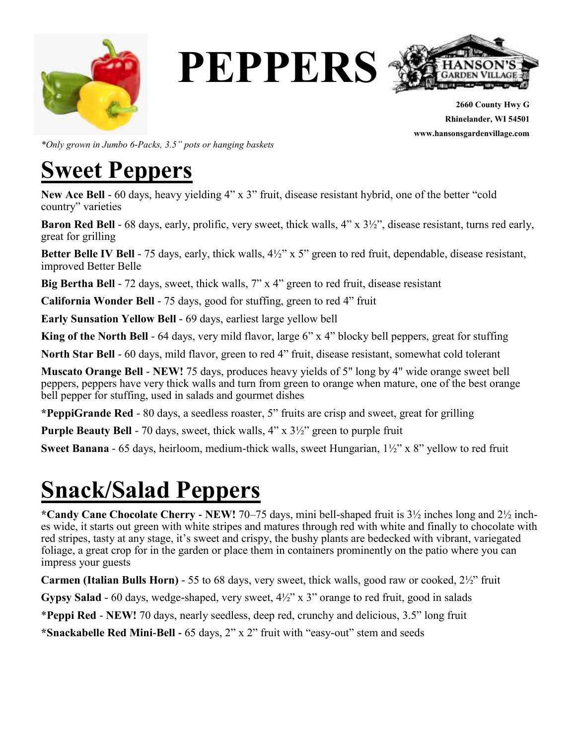

**PEPPERS**



**2660 County Hwy G Rhinelander, WI 54501 www.hansonsgardenvillage.com**

*\*Only grown in Jumbo 6-Packs, 3.5" pots or hanging baskets*

#### **Sweet Peppers**

**New Ace Bell** - 60 days, heavy yielding 4" x 3" fruit, disease resistant hybrid, one of the better "cold country" varieties

**Baron Red Bell** - 68 days, early, prolific, very sweet, thick walls, 4" x 3½", disease resistant, turns red early, great for grilling

**Better Belle IV Bell** - 75 days, early, thick walls, 4½" x 5" green to red fruit, dependable, disease resistant, improved Better Belle

**Big Bertha Bell** - 72 days, sweet, thick walls, 7" x 4" green to red fruit, disease resistant

**California Wonder Bell** - 75 days, good for stuffing, green to red 4" fruit

**Early Sunsation Yellow Bell** - 69 days, earliest large yellow bell

**King of the North Bell** - 64 days, very mild flavor, large 6" x 4" blocky bell peppers, great for stuffing

**North Star Bell** - 60 days, mild flavor, green to red 4" fruit, disease resistant, somewhat cold tolerant

**Muscato Orange Bell** - **NEW!** 75 days, produces heavy yields of 5" long by 4" wide orange sweet bell peppers, peppers have very thick walls and turn from green to orange when mature, one of the best orange bell pepper for stuffing, used in salads and gourmet dishes

**\*PeppiGrande Red** - 80 days, a seedless roaster, 5" fruits are crisp and sweet, great for grilling

**Purple Beauty Bell** - 70 days, sweet, thick walls, 4" x 3<sup>1</sup>/<sub>2</sub>" green to purple fruit

**Sweet Banana** - 65 days, heirloom, medium-thick walls, sweet Hungarian, 1½" x 8" yellow to red fruit

### **Snack/Salad Peppers**

**\*Candy Cane Chocolate Cherry - NEW!** 70–75 days, mini bell-shaped fruit is 3½ inches long and 2½ inches wide, it starts out green with white stripes and matures through red with white and finally to chocolate with red stripes, tasty at any stage, it's sweet and crispy, the bushy plants are bedecked with vibrant, variegated foliage, a great crop for in the garden or place them in containers prominently on the patio where you can impress your guests

**Carmen (Italian Bulls Horn)** - 55 to 68 days, very sweet, thick walls, good raw or cooked, 2½" fruit

**Gypsy Salad** - 60 days, wedge-shaped, very sweet, 4½" x 3" orange to red fruit, good in salads

\***Peppi Red** - **NEW!** 70 days, nearly seedless, deep red, crunchy and delicious, 3.5" long fruit

**\*Snackabelle Red Mini-Bell -** 65 days, 2" x 2" fruit with "easy-out" stem and seeds